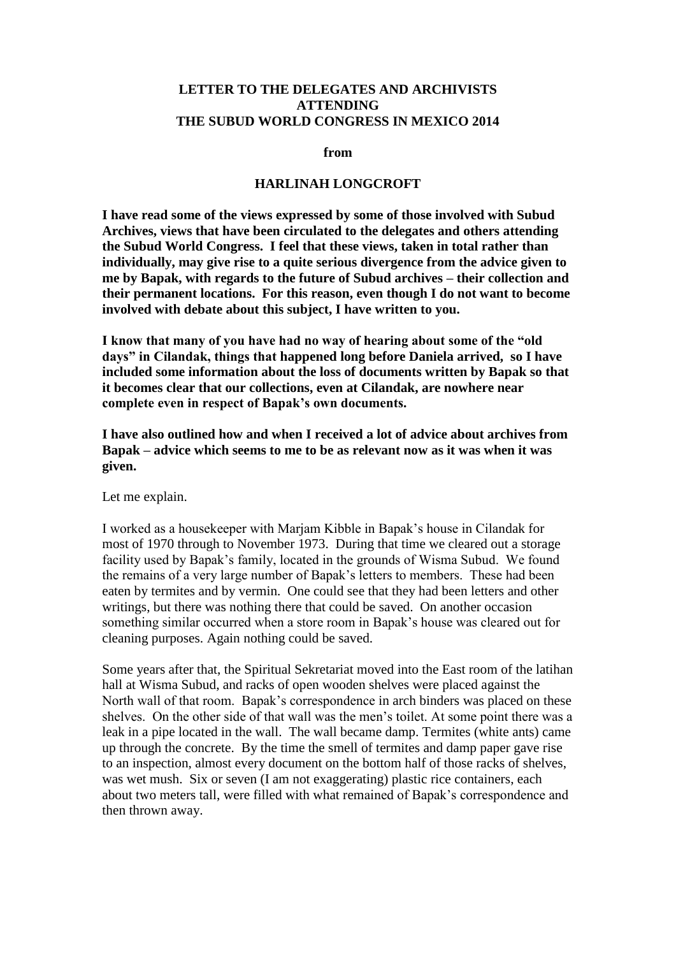## **LETTER TO THE DELEGATES AND ARCHIVISTS ATTENDING THE SUBUD WORLD CONGRESS IN MEXICO 2014**

**from**

## **HARLINAH LONGCROFT**

**I have read some of the views expressed by some of those involved with Subud Archives, views that have been circulated to the delegates and others attending the Subud World Congress. I feel that these views, taken in total rather than individually, may give rise to a quite serious divergence from the advice given to me by Bapak, with regards to the future of Subud archives – their collection and their permanent locations. For this reason, even though I do not want to become involved with debate about this subject, I have written to you.** 

**I know that many of you have had no way of hearing about some of the "old days" in Cilandak, things that happened long before Daniela arrived, so I have included some information about the loss of documents written by Bapak so that it becomes clear that our collections, even at Cilandak, are nowhere near complete even in respect of Bapak's own documents.** 

**I have also outlined how and when I received a lot of advice about archives from Bapak – advice which seems to me to be as relevant now as it was when it was given.** 

Let me explain.

I worked as a housekeeper with Marjam Kibble in Bapak's house in Cilandak for most of 1970 through to November 1973. During that time we cleared out a storage facility used by Bapak's family, located in the grounds of Wisma Subud. We found the remains of a very large number of Bapak's letters to members. These had been eaten by termites and by vermin. One could see that they had been letters and other writings, but there was nothing there that could be saved. On another occasion something similar occurred when a store room in Bapak's house was cleared out for cleaning purposes. Again nothing could be saved.

Some years after that, the Spiritual Sekretariat moved into the East room of the latihan hall at Wisma Subud, and racks of open wooden shelves were placed against the North wall of that room. Bapak's correspondence in arch binders was placed on these shelves. On the other side of that wall was the men's toilet. At some point there was a leak in a pipe located in the wall. The wall became damp. Termites (white ants) came up through the concrete. By the time the smell of termites and damp paper gave rise to an inspection, almost every document on the bottom half of those racks of shelves, was wet mush. Six or seven (I am not exaggerating) plastic rice containers, each about two meters tall, were filled with what remained of Bapak's correspondence and then thrown away.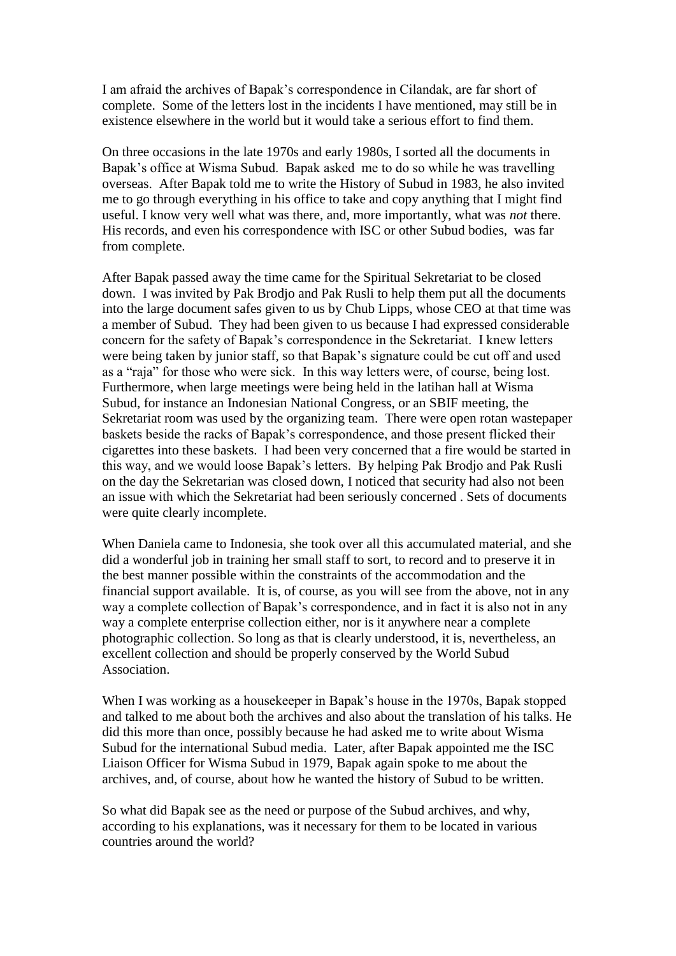I am afraid the archives of Bapak's correspondence in Cilandak, are far short of complete. Some of the letters lost in the incidents I have mentioned, may still be in existence elsewhere in the world but it would take a serious effort to find them.

On three occasions in the late 1970s and early 1980s, I sorted all the documents in Bapak's office at Wisma Subud. Bapak asked me to do so while he was travelling overseas. After Bapak told me to write the History of Subud in 1983, he also invited me to go through everything in his office to take and copy anything that I might find useful. I know very well what was there, and, more importantly, what was *not* there. His records, and even his correspondence with ISC or other Subud bodies, was far from complete.

After Bapak passed away the time came for the Spiritual Sekretariat to be closed down. I was invited by Pak Brodjo and Pak Rusli to help them put all the documents into the large document safes given to us by Chub Lipps, whose CEO at that time was a member of Subud. They had been given to us because I had expressed considerable concern for the safety of Bapak's correspondence in the Sekretariat. I knew letters were being taken by junior staff, so that Bapak's signature could be cut off and used as a "raja" for those who were sick. In this way letters were, of course, being lost. Furthermore, when large meetings were being held in the latihan hall at Wisma Subud, for instance an Indonesian National Congress, or an SBIF meeting, the Sekretariat room was used by the organizing team. There were open rotan wastepaper baskets beside the racks of Bapak's correspondence, and those present flicked their cigarettes into these baskets. I had been very concerned that a fire would be started in this way, and we would loose Bapak's letters. By helping Pak Brodjo and Pak Rusli on the day the Sekretarian was closed down, I noticed that security had also not been an issue with which the Sekretariat had been seriously concerned . Sets of documents were quite clearly incomplete.

When Daniela came to Indonesia, she took over all this accumulated material, and she did a wonderful job in training her small staff to sort, to record and to preserve it in the best manner possible within the constraints of the accommodation and the financial support available. It is, of course, as you will see from the above, not in any way a complete collection of Bapak's correspondence, and in fact it is also not in any way a complete enterprise collection either, nor is it anywhere near a complete photographic collection. So long as that is clearly understood, it is, nevertheless, an excellent collection and should be properly conserved by the World Subud Association.

When I was working as a housekeeper in Bapak's house in the 1970s, Bapak stopped and talked to me about both the archives and also about the translation of his talks. He did this more than once, possibly because he had asked me to write about Wisma Subud for the international Subud media. Later, after Bapak appointed me the ISC Liaison Officer for Wisma Subud in 1979, Bapak again spoke to me about the archives, and, of course, about how he wanted the history of Subud to be written.

So what did Bapak see as the need or purpose of the Subud archives, and why, according to his explanations, was it necessary for them to be located in various countries around the world?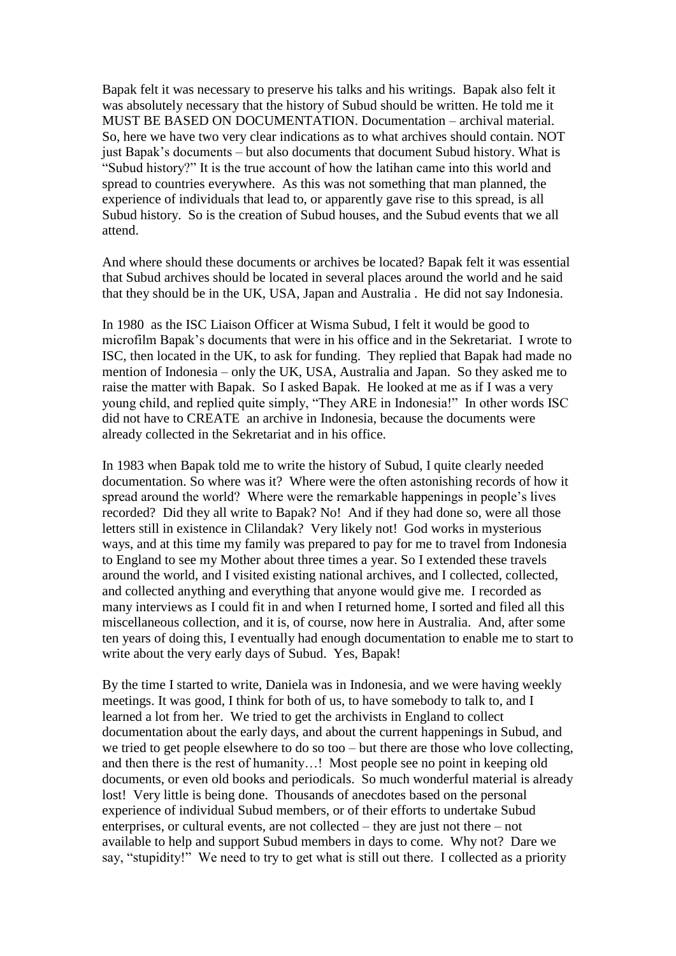Bapak felt it was necessary to preserve his talks and his writings. Bapak also felt it was absolutely necessary that the history of Subud should be written. He told me it MUST BE BASED ON DOCUMENTATION. Documentation – archival material. So, here we have two very clear indications as to what archives should contain. NOT just Bapak's documents – but also documents that document Subud history. What is "Subud history?" It is the true account of how the latihan came into this world and spread to countries everywhere. As this was not something that man planned, the experience of individuals that lead to, or apparently gave rise to this spread, is all Subud history. So is the creation of Subud houses, and the Subud events that we all attend.

And where should these documents or archives be located? Bapak felt it was essential that Subud archives should be located in several places around the world and he said that they should be in the UK, USA, Japan and Australia . He did not say Indonesia.

In 1980 as the ISC Liaison Officer at Wisma Subud, I felt it would be good to microfilm Bapak's documents that were in his office and in the Sekretariat. I wrote to ISC, then located in the UK, to ask for funding. They replied that Bapak had made no mention of Indonesia – only the UK, USA, Australia and Japan. So they asked me to raise the matter with Bapak. So I asked Bapak. He looked at me as if I was a very young child, and replied quite simply, "They ARE in Indonesia!" In other words ISC did not have to CREATE an archive in Indonesia, because the documents were already collected in the Sekretariat and in his office.

In 1983 when Bapak told me to write the history of Subud, I quite clearly needed documentation. So where was it? Where were the often astonishing records of how it spread around the world? Where were the remarkable happenings in people's lives recorded? Did they all write to Bapak? No! And if they had done so, were all those letters still in existence in Clilandak? Very likely not! God works in mysterious ways, and at this time my family was prepared to pay for me to travel from Indonesia to England to see my Mother about three times a year. So I extended these travels around the world, and I visited existing national archives, and I collected, collected, and collected anything and everything that anyone would give me. I recorded as many interviews as I could fit in and when I returned home, I sorted and filed all this miscellaneous collection, and it is, of course, now here in Australia. And, after some ten years of doing this, I eventually had enough documentation to enable me to start to write about the very early days of Subud. Yes, Bapak!

By the time I started to write, Daniela was in Indonesia, and we were having weekly meetings. It was good, I think for both of us, to have somebody to talk to, and I learned a lot from her. We tried to get the archivists in England to collect documentation about the early days, and about the current happenings in Subud, and we tried to get people elsewhere to do so too – but there are those who love collecting, and then there is the rest of humanity…! Most people see no point in keeping old documents, or even old books and periodicals. So much wonderful material is already lost! Very little is being done. Thousands of anecdotes based on the personal experience of individual Subud members, or of their efforts to undertake Subud enterprises, or cultural events, are not collected – they are just not there – not available to help and support Subud members in days to come. Why not? Dare we say, "stupidity!" We need to try to get what is still out there. I collected as a priority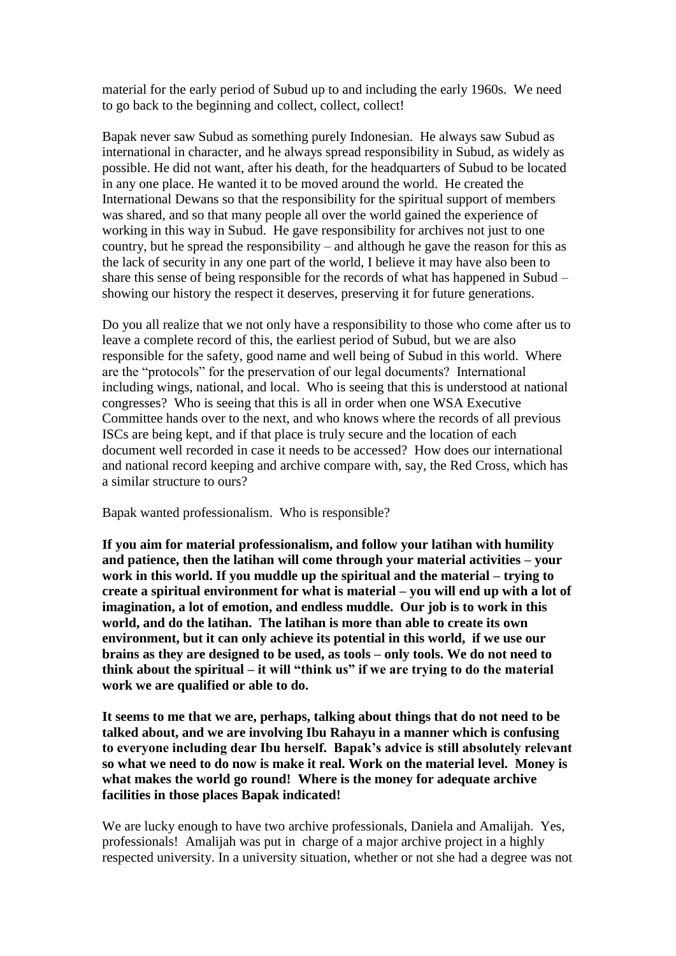material for the early period of Subud up to and including the early 1960s. We need to go back to the beginning and collect, collect, collect!

Bapak never saw Subud as something purely Indonesian. He always saw Subud as international in character, and he always spread responsibility in Subud, as widely as possible. He did not want, after his death, for the headquarters of Subud to be located in any one place. He wanted it to be moved around the world. He created the International Dewans so that the responsibility for the spiritual support of members was shared, and so that many people all over the world gained the experience of working in this way in Subud. He gave responsibility for archives not just to one country, but he spread the responsibility – and although he gave the reason for this as the lack of security in any one part of the world, I believe it may have also been to share this sense of being responsible for the records of what has happened in Subud – showing our history the respect it deserves, preserving it for future generations.

Do you all realize that we not only have a responsibility to those who come after us to leave a complete record of this, the earliest period of Subud, but we are also responsible for the safety, good name and well being of Subud in this world. Where are the "protocols" for the preservation of our legal documents? International including wings, national, and local. Who is seeing that this is understood at national congresses? Who is seeing that this is all in order when one WSA Executive Committee hands over to the next, and who knows where the records of all previous ISCs are being kept, and if that place is truly secure and the location of each document well recorded in case it needs to be accessed? How does our international and national record keeping and archive compare with, say, the Red Cross, which has a similar structure to ours?

Bapak wanted professionalism. Who is responsible?

**If you aim for material professionalism, and follow your latihan with humility and patience, then the latihan will come through your material activities – your work in this world. If you muddle up the spiritual and the material – trying to create a spiritual environment for what is material – you will end up with a lot of imagination, a lot of emotion, and endless muddle. Our job is to work in this world, and do the latihan. The latihan is more than able to create its own environment, but it can only achieve its potential in this world, if we use our brains as they are designed to be used, as tools – only tools. We do not need to think about the spiritual – it will "think us" if we are trying to do the material work we are qualified or able to do.** 

**It seems to me that we are, perhaps, talking about things that do not need to be talked about, and we are involving Ibu Rahayu in a manner which is confusing to everyone including dear Ibu herself. Bapak's advice is still absolutely relevant so what we need to do now is make it real. Work on the material level. Money is what makes the world go round! Where is the money for adequate archive facilities in those places Bapak indicated!** 

We are lucky enough to have two archive professionals, Daniela and Amalijah. Yes, professionals! Amalijah was put in charge of a major archive project in a highly respected university. In a university situation, whether or not she had a degree was not